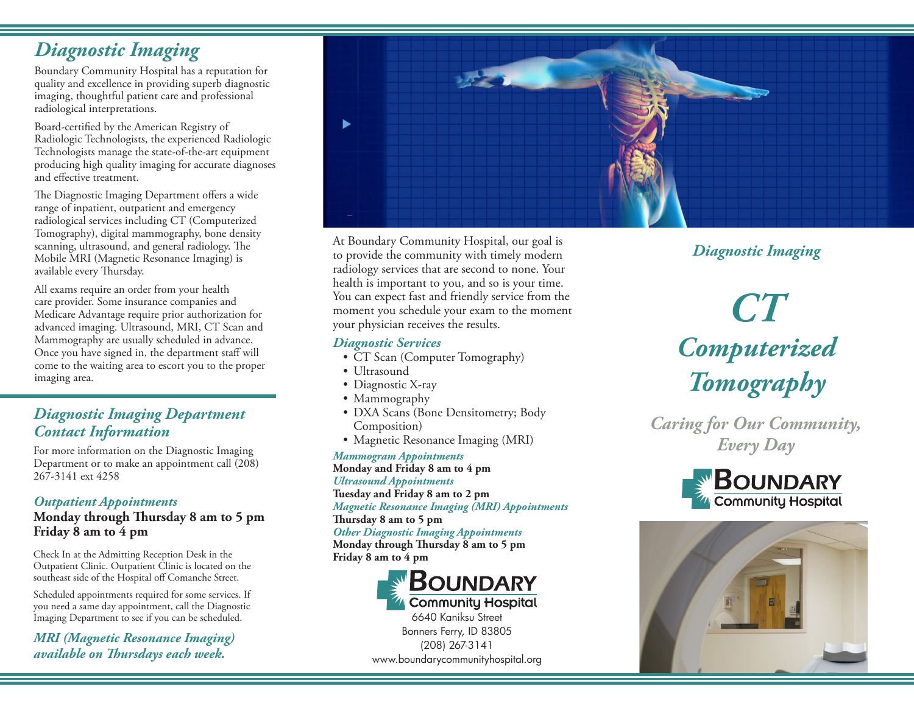# *Diagnostic Imaging*

Boundary Community Hospital has a reputation for quality and excellence in providing superb diagnostic imaging, thoughtful patient care and professional radiological interpretations.

Board-certified by the American Registry of Radiologic Technologists, the experienced Radiologic Technologists manage the state-of-the-art equipment producing high quality imaging for accurate diagnoses and effective treatment.

The Diagnostic Imaging Department offers a wide range of inpatient, outpatient and emergency radiological services including CT (Computerized Tomography), digital mammography, bone density scanning, ultrasound, and general radiology. The Mobile MRI (Magnetic Resonance Imaging) is available every Thursday.

All exams require an order from your health care provider. Some insurance companies and Medicare Advantage require prior authorization for advanced imaging. Ultrasound, MRI, CT Scan and Mammography are usually scheduled in advance. Once you have signed in, the department staff will come to the waiting area to escort you to the proper imaging area.

# *Diagnostic Imaging Department Contact Information*

For more information on the Diagnostic Imaging Department or to make an appointment call (208) 267-3141 ext 4258

#### *Outpatient Appointments*

#### **Monday through Thursday 8 am to 5 pm Friday 8 am to 4 pm**

Check In at the Admitting Reception Desk in the Outpatient Clinic. Outpatient Clinic is located on the southeast side of the Hospital off Comanche Street.

Scheduled appointments required for some services. If you need a same day appointment, call the Diagnostic Imaging Department to see if you can be scheduled.

*MRI (Magnetic Resonance Imaging) available on Thursdays each week.*



At Boundary Community Hospital, our goal is to provide the community with timely modern radiology services that are second to none. Your health is important to you, and so is your time. You can expect fast and friendly service from the moment you schedule your exam to the moment your physician receives the results.

#### *Diagnostic Services*

- CT Scan (Computer Tomography)
- Ultrasound
- Diagnostic X-ray
- Mammography
- DXA Scans (Bone Densitometry; Body Composition)
- Magnetic Resonance Imaging (MRI)

*Mammogram Appointments* **Monday and Friday 8 am to 4 pm** *Ultrasound Appointments* **Tuesday and Friday 8 am to 2 pm** *Magnetic Resonance Imaging (MRI) Appointments*

**Thursday 8 am to 5 pm**

*Other Diagnostic Imaging Appointments* **Monday through Thursday 8 am to 5 pm Friday 8 am to 4 pm**



6640 Kaniksu Street Bonners Ferry, ID 83805 (208) 267-3141

# www.boundarycommunityhospital.org

# *Diagnostic Imaging*

# *CT Computerized Tomography*

*Caring for Our Community, Every Day*